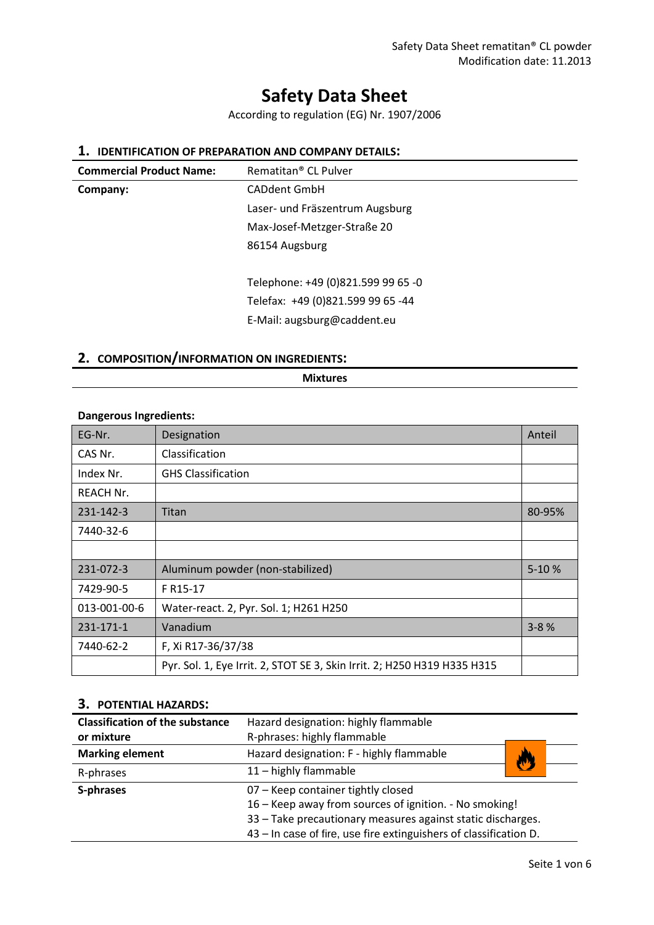# **Safety Data Sheet**

According to regulation (EG) Nr. 1907/2006

# **1. IDENTIFICATION OF PREPARATION AND COMPANY DETAILS:**

| <b>Commercial Product Name:</b> | Rematitan <sup>®</sup> CL Pulver   |
|---------------------------------|------------------------------------|
| Company:                        | <b>CADdent GmbH</b>                |
|                                 | Laser- und Fräszentrum Augsburg    |
|                                 | Max-Josef-Metzger-Straße 20        |
|                                 | 86154 Augsburg                     |
|                                 |                                    |
|                                 | Telephone: +49 (0)821.599 99 65 -0 |
|                                 | Telefax: +49 (0)821.599 99 65 -44  |
|                                 | E-Mail: augsburg@caddent.eu        |
|                                 |                                    |

# **2. COMPOSITION/INFORMATION ON INGREDIENTS:**

#### **Mixtures**

#### **Dangerous Ingredients:**

| EG-Nr.           | Designation                                                              | Anteil    |
|------------------|--------------------------------------------------------------------------|-----------|
| CAS Nr.          | Classification                                                           |           |
| Index Nr.        | <b>GHS Classification</b>                                                |           |
| <b>REACH Nr.</b> |                                                                          |           |
| 231-142-3        | Titan                                                                    | 80-95%    |
| 7440-32-6        |                                                                          |           |
|                  |                                                                          |           |
| 231-072-3        | Aluminum powder (non-stabilized)                                         | $5 - 10%$ |
| 7429-90-5        | F R <sub>15</sub> -17                                                    |           |
| 013-001-00-6     | Water-react. 2, Pyr. Sol. 1; H261 H250                                   |           |
| 231-171-1        | Vanadium                                                                 | $3 - 8%$  |
| 7440-62-2        | F, Xi R17-36/37/38                                                       |           |
|                  | Pyr. Sol. 1, Eye Irrit. 2, STOT SE 3, Skin Irrit. 2; H250 H319 H335 H315 |           |

## **3. POTENTIAL HAZARDS:**

| <b>Classification of the substance</b> | Hazard designation: highly flammable                              |  |
|----------------------------------------|-------------------------------------------------------------------|--|
| or mixture                             | R-phrases: highly flammable                                       |  |
| <b>Marking element</b>                 | Hazard designation: F - highly flammable                          |  |
| R-phrases                              | 11 - highly flammable                                             |  |
| S-phrases                              | 07 - Keep container tightly closed                                |  |
|                                        | 16 – Keep away from sources of ignition. - No smoking!            |  |
|                                        | 33 – Take precautionary measures against static discharges.       |  |
|                                        | 43 – In case of fire, use fire extinguishers of classification D. |  |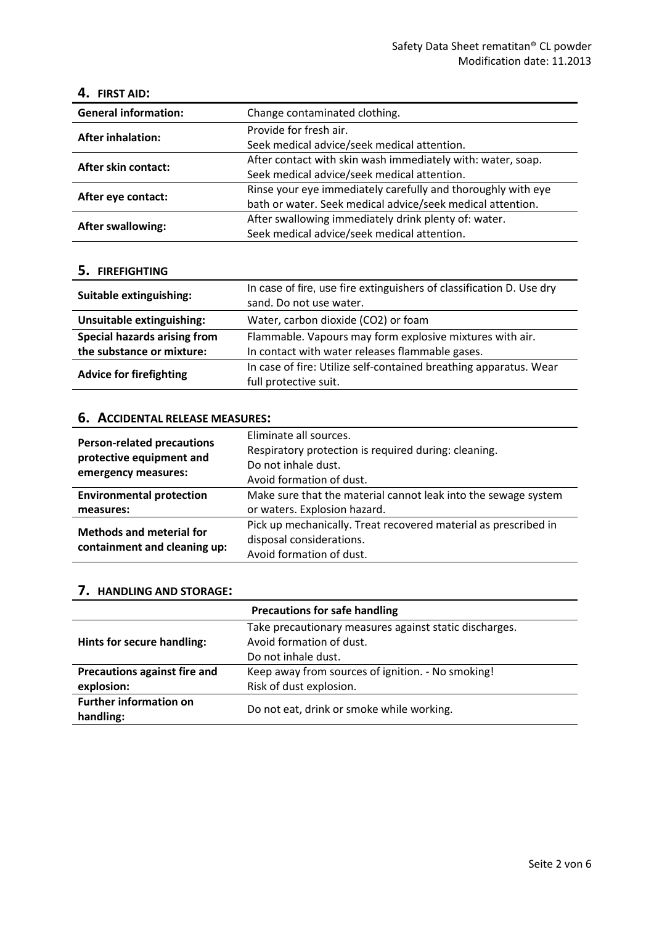#### **4. FIRST AID:**

| <b>General information:</b> | Change contaminated clothing.                                |  |  |
|-----------------------------|--------------------------------------------------------------|--|--|
| <b>After inhalation:</b>    | Provide for fresh air.                                       |  |  |
|                             | Seek medical advice/seek medical attention.                  |  |  |
| After skin contact:         | After contact with skin wash immediately with: water, soap.  |  |  |
|                             | Seek medical advice/seek medical attention.                  |  |  |
|                             | Rinse your eye immediately carefully and thoroughly with eye |  |  |
| After eye contact:          | bath or water. Seek medical advice/seek medical attention.   |  |  |
|                             | After swallowing immediately drink plenty of: water.         |  |  |
| <b>After swallowing:</b>    | Seek medical advice/seek medical attention.                  |  |  |

## **5. FIREFIGHTING**

| Suitable extinguishing:        | In case of fire, use fire extinguishers of classification D. Use dry<br>sand. Do not use water. |  |
|--------------------------------|-------------------------------------------------------------------------------------------------|--|
| Unsuitable extinguishing:      | Water, carbon dioxide (CO2) or foam                                                             |  |
| Special hazards arising from   | Flammable. Vapours may form explosive mixtures with air.                                        |  |
| the substance or mixture:      | In contact with water releases flammable gases.                                                 |  |
| <b>Advice for firefighting</b> | In case of fire: Utilize self-contained breathing apparatus. Wear<br>full protective suit.      |  |

# **6. ACCIDENTAL RELEASE MEASURES:**

| <b>Person-related precautions</b><br>protective equipment and<br>emergency measures: | Eliminate all sources.<br>Respiratory protection is required during: cleaning.<br>Do not inhale dust.<br>Avoid formation of dust. |
|--------------------------------------------------------------------------------------|-----------------------------------------------------------------------------------------------------------------------------------|
| <b>Environmental protection</b>                                                      | Make sure that the material cannot leak into the sewage system                                                                    |
| measures:                                                                            | or waters. Explosion hazard.                                                                                                      |
| <b>Methods and meterial for</b><br>containment and cleaning up:                      | Pick up mechanically. Treat recovered material as prescribed in                                                                   |
|                                                                                      | disposal considerations.                                                                                                          |
|                                                                                      | Avoid formation of dust.                                                                                                          |

### **7. HANDLING AND STORAGE:**

|                                     | <b>Precautions for safe handling</b>                   |  |
|-------------------------------------|--------------------------------------------------------|--|
|                                     | Take precautionary measures against static discharges. |  |
| Hints for secure handling:          | Avoid formation of dust.                               |  |
|                                     | Do not inhale dust.                                    |  |
| <b>Precautions against fire and</b> | Keep away from sources of ignition. - No smoking!      |  |
| explosion:                          | Risk of dust explosion.                                |  |
| <b>Further information on</b>       |                                                        |  |
| handling:                           | Do not eat, drink or smoke while working.              |  |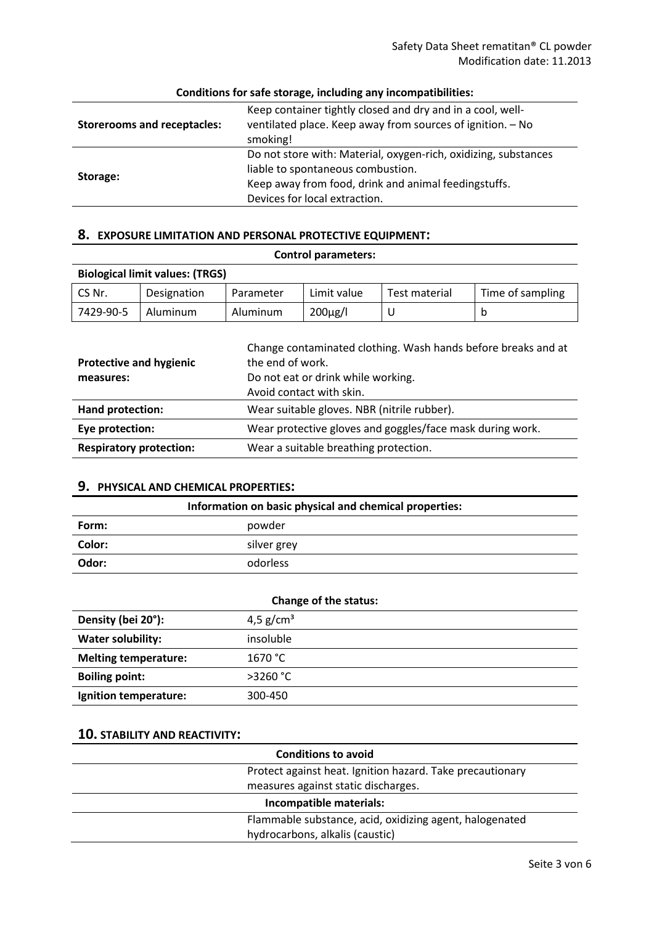| <b>Storerooms and receptacles:</b> | Keep container tightly closed and dry and in a cool, well-<br>ventilated place. Keep away from sources of ignition. - No<br>smoking!                                                          |  |
|------------------------------------|-----------------------------------------------------------------------------------------------------------------------------------------------------------------------------------------------|--|
| Storage:                           | Do not store with: Material, oxygen-rich, oxidizing, substances<br>liable to spontaneous combustion.<br>Keep away from food, drink and animal feedingstuffs.<br>Devices for local extraction. |  |

### **Conditions for safe storage, including any incompatibilities:**

### **8. EXPOSURE LIMITATION AND PERSONAL PROTECTIVE EQUIPMENT:**

| <b>Biological limit values: (TRGS)</b>      |             |                  |                                                                |                                                           |                                                               |
|---------------------------------------------|-------------|------------------|----------------------------------------------------------------|-----------------------------------------------------------|---------------------------------------------------------------|
| CS Nr.                                      | Designation | Parameter        | Limit value                                                    | Test material                                             | Time of sampling                                              |
| 7429-90-5                                   | Aluminum    | Aluminum         | $200\mu$ g/l                                                   | U                                                         | b                                                             |
| <b>Protective and hygienic</b><br>measures: |             | the end of work. | Do not eat or drink while working.<br>Avoid contact with skin. |                                                           | Change contaminated clothing. Wash hands before breaks and at |
| Hand protection:                            |             |                  | Wear suitable gloves. NBR (nitrile rubber).                    |                                                           |                                                               |
| Eye protection:                             |             |                  |                                                                | Wear protective gloves and goggles/face mask during work. |                                                               |
| <b>Respiratory protection:</b>              |             |                  | Wear a suitable breathing protection.                          |                                                           |                                                               |

**Control parameters:**

# **9. PHYSICAL AND CHEMICAL PROPERTIES:**

| Information on basic physical and chemical properties: |             |  |
|--------------------------------------------------------|-------------|--|
| Form:                                                  | powder      |  |
| Color:                                                 | silver grey |  |
| Odor:                                                  | odorless    |  |

| Change of the status:       |             |  |
|-----------------------------|-------------|--|
| Density (bei 20°):          | 4,5 $g/cm3$ |  |
| <b>Water solubility:</b>    | insoluble   |  |
| <b>Melting temperature:</b> | 1670 °C     |  |
| <b>Boiling point:</b>       | $>3260$ °C  |  |
| Ignition temperature:       | 300-450     |  |

# **10. STABILITY AND REACTIVITY:**

| <b>Conditions to avoid</b> |                                                           |  |
|----------------------------|-----------------------------------------------------------|--|
|                            | Protect against heat. Ignition hazard. Take precautionary |  |
|                            | measures against static discharges.                       |  |
| Incompatible materials:    |                                                           |  |
|                            | Flammable substance, acid, oxidizing agent, halogenated   |  |
|                            | hydrocarbons, alkalis (caustic)                           |  |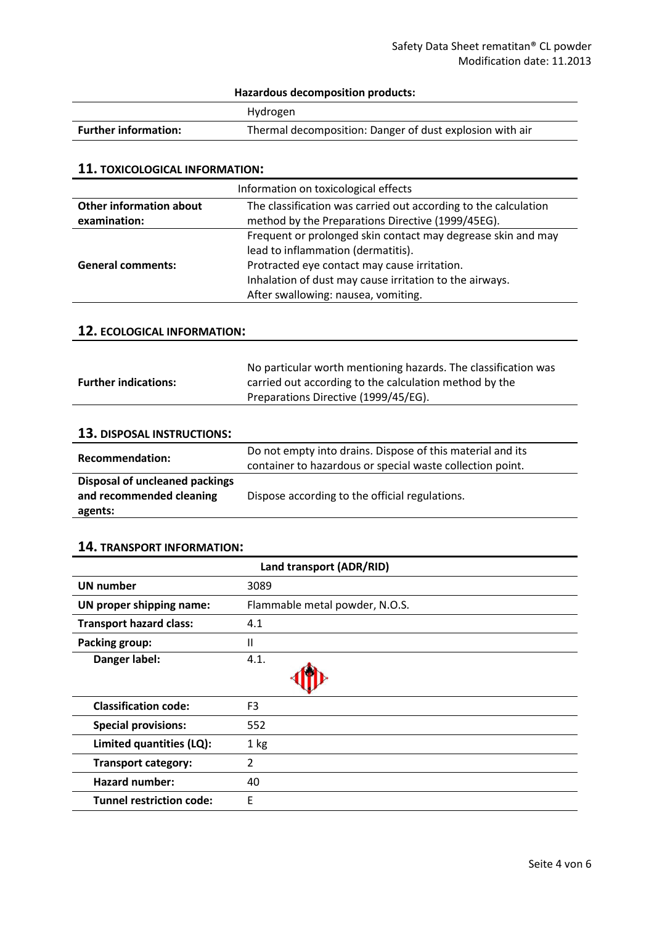# **Hazardous decomposition products:**

|                             | Hydrogen                                                 |
|-----------------------------|----------------------------------------------------------|
| <b>Further information:</b> | Thermal decomposition: Danger of dust explosion with air |

#### **11. TOXICOLOGICAL INFORMATION:**

| Information on toxicological effects                                                              |                                                              |
|---------------------------------------------------------------------------------------------------|--------------------------------------------------------------|
| The classification was carried out according to the calculation<br><b>Other information about</b> |                                                              |
| examination:                                                                                      | method by the Preparations Directive (1999/45EG).            |
|                                                                                                   | Frequent or prolonged skin contact may degrease skin and may |
|                                                                                                   | lead to inflammation (dermatitis).                           |
| <b>General comments:</b>                                                                          | Protracted eye contact may cause irritation.                 |
|                                                                                                   | Inhalation of dust may cause irritation to the airways.      |
|                                                                                                   | After swallowing: nausea, vomiting.                          |

## **12. ECOLOGICAL INFORMATION:**

|                             | No particular worth mentioning hazards. The classification was |
|-----------------------------|----------------------------------------------------------------|
| <b>Further indications:</b> | carried out according to the calculation method by the         |
|                             | Preparations Directive (1999/45/EG).                           |

# **13. DISPOSAL INSTRUCTIONS:**

| Recommendation:                                                       | Do not empty into drains. Dispose of this material and its<br>container to hazardous or special waste collection point. |
|-----------------------------------------------------------------------|-------------------------------------------------------------------------------------------------------------------------|
| Disposal of uncleaned packings<br>and recommended cleaning<br>agents: | Dispose according to the official regulations.                                                                          |

## **14. TRANSPORT INFORMATION:**

| Land transport (ADR/RID)        |                                |
|---------------------------------|--------------------------------|
| <b>UN number</b>                | 3089                           |
| UN proper shipping name:        | Flammable metal powder, N.O.S. |
| <b>Transport hazard class:</b>  | 4.1                            |
| <b>Packing group:</b>           | $\mathbf{H}$                   |
| Danger label:                   | 4.1.                           |
|                                 |                                |
| <b>Classification code:</b>     | F <sub>3</sub>                 |
| <b>Special provisions:</b>      | 552                            |
| Limited quantities (LQ):        | 1 kg                           |
| <b>Transport category:</b>      | 2                              |
| <b>Hazard number:</b>           | 40                             |
| <b>Tunnel restriction code:</b> | E                              |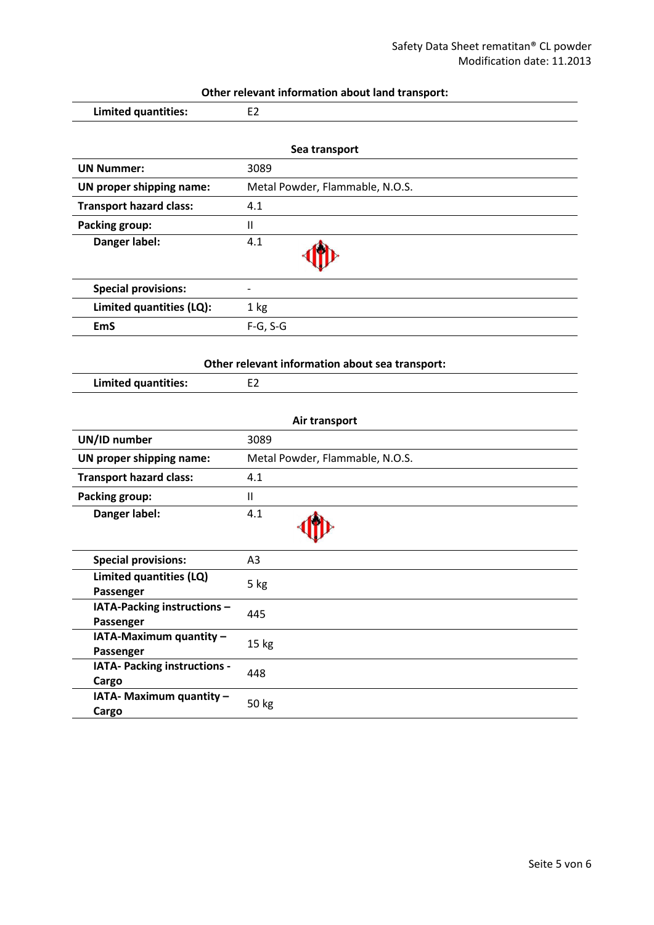| Other relevant information about land transport: |  |
|--------------------------------------------------|--|
|--------------------------------------------------|--|

| <u>other relevant information assat iana transporti</u> |  |  |
|---------------------------------------------------------|--|--|
| Limited quantities:                                     |  |  |

| Sea transport                  |                                 |
|--------------------------------|---------------------------------|
| <b>UN Nummer:</b>              | 3089                            |
| UN proper shipping name:       | Metal Powder, Flammable, N.O.S. |
| <b>Transport hazard class:</b> | 4.1                             |
| <b>Packing group:</b>          | Ш                               |
| Danger label:                  | 4.1                             |
| <b>Special provisions:</b>     | $\overline{\phantom{a}}$        |
| Limited quantities (LQ):       | 1 <sub>kg</sub>                 |
| <b>EmS</b>                     | $F-G, S-G$                      |

### **Other relevant information about sea transport:**

**Limited quantities:** E2

| Air transport                            |                                 |  |
|------------------------------------------|---------------------------------|--|
| UN/ID number                             | 3089                            |  |
| UN proper shipping name:                 | Metal Powder, Flammable, N.O.S. |  |
| <b>Transport hazard class:</b>           | 4.1                             |  |
| <b>Packing group:</b>                    | $\mathsf{I}$                    |  |
| Danger label:                            | 4.1                             |  |
| <b>Special provisions:</b>               | A <sub>3</sub>                  |  |
| Limited quantities (LQ)<br>Passenger     | 5 kg                            |  |
| IATA-Packing instructions -<br>Passenger | 445                             |  |
| IATA-Maximum quantity -<br>Passenger     | 15 <sub>kg</sub>                |  |
| IATA- Packing instructions -<br>Cargo    | 448                             |  |
| IATA- Maximum quantity -<br>Cargo        | 50 kg                           |  |